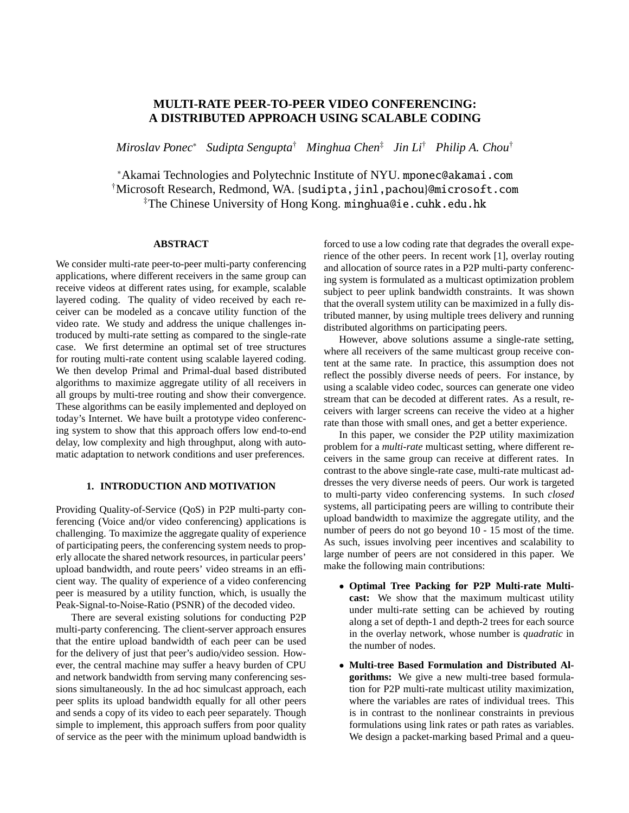# **MULTI-RATE PEER-TO-PEER VIDEO CONFERENCING: A DISTRIBUTED APPROACH USING SCALABLE CODING**

*Miroslav Ponec*<sup>∗</sup> *Sudipta Sengupta*† *Minghua Chen*‡ *Jin Li*† *Philip A. Chou*†

<sup>∗</sup>Akamai Technologies and Polytechnic Institute of NYU. mponec@akamai.com †Microsoft Research, Redmond, WA. {sudipta,jinl,pachou}@microsoft.com ‡The Chinese University of Hong Kong. minghua@ie.cuhk.edu.hk

## **ABSTRACT**

We consider multi-rate peer-to-peer multi-party conferencing applications, where different receivers in the same group can receive videos at different rates using, for example, scalable layered coding. The quality of video received by each receiver can be modeled as a concave utility function of the video rate. We study and address the unique challenges introduced by multi-rate setting as compared to the single-rate case. We first determine an optimal set of tree structures for routing multi-rate content using scalable layered coding. We then develop Primal and Primal-dual based distributed algorithms to maximize aggregate utility of all receivers in all groups by multi-tree routing and show their convergence. These algorithms can be easily implemented and deployed on today's Internet. We have built a prototype video conferencing system to show that this approach offers low end-to-end delay, low complexity and high throughput, along with automatic adaptation to network conditions and user preferences.

## **1. INTRODUCTION AND MOTIVATION**

Providing Quality-of-Service (QoS) in P2P multi-party conferencing (Voice and/or video conferencing) applications is challenging. To maximize the aggregate quality of experience of participating peers, the conferencing system needs to properly allocate the shared network resources, in particular peers' upload bandwidth, and route peers' video streams in an efficient way. The quality of experience of a video conferencing peer is measured by a utility function, which, is usually the Peak-Signal-to-Noise-Ratio (PSNR) of the decoded video.

There are several existing solutions for conducting P2P multi-party conferencing. The client-server approach ensures that the entire upload bandwidth of each peer can be used for the delivery of just that peer's audio/video session. However, the central machine may suffer a heavy burden of CPU and network bandwidth from serving many conferencing sessions simultaneously. In the ad hoc simulcast approach, each peer splits its upload bandwidth equally for all other peers and sends a copy of its video to each peer separately. Though simple to implement, this approach suffers from poor quality of service as the peer with the minimum upload bandwidth is forced to use a low coding rate that degrades the overall experience of the other peers. In recent work [1], overlay routing and allocation of source rates in a P2P multi-party conferencing system is formulated as a multicast optimization problem subject to peer uplink bandwidth constraints. It was shown that the overall system utility can be maximized in a fully distributed manner, by using multiple trees delivery and running distributed algorithms on participating peers.

However, above solutions assume a single-rate setting, where all receivers of the same multicast group receive content at the same rate. In practice, this assumption does not reflect the possibly diverse needs of peers. For instance, by using a scalable video codec, sources can generate one video stream that can be decoded at different rates. As a result, receivers with larger screens can receive the video at a higher rate than those with small ones, and get a better experience.

In this paper, we consider the P2P utility maximization problem for a *multi-rate* multicast setting, where different receivers in the same group can receive at different rates. In contrast to the above single-rate case, multi-rate multicast addresses the very diverse needs of peers. Our work is targeted to multi-party video conferencing systems. In such *closed* systems, all participating peers are willing to contribute their upload bandwidth to maximize the aggregate utility, and the number of peers do not go beyond 10 - 15 most of the time. As such, issues involving peer incentives and scalability to large number of peers are not considered in this paper. We make the following main contributions:

- **Optimal Tree Packing for P2P Multi-rate Multicast:** We show that the maximum multicast utility under multi-rate setting can be achieved by routing along a set of depth-1 and depth-2 trees for each source in the overlay network, whose number is *quadratic* in the number of nodes.
- **Multi-tree Based Formulation and Distributed Algorithms:** We give a new multi-tree based formulation for P2P multi-rate multicast utility maximization, where the variables are rates of individual trees. This is in contrast to the nonlinear constraints in previous formulations using link rates or path rates as variables. We design a packet-marking based Primal and a queu-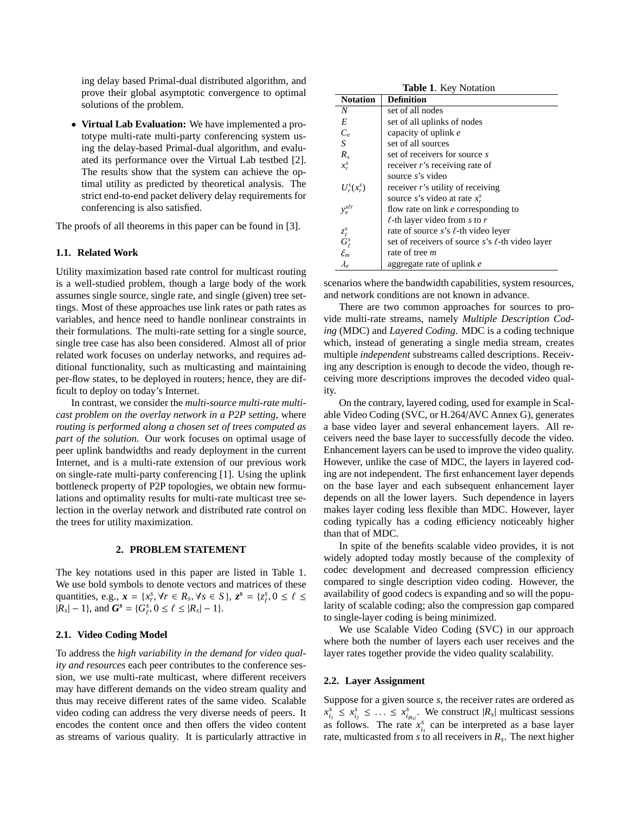ing delay based Primal-dual distributed algorithm, and prove their global asymptotic convergence to optimal solutions of the problem.

• **Virtual Lab Evaluation:** We have implemented a prototype multi-rate multi-party conferencing system using the delay-based Primal-dual algorithm, and evaluated its performance over the Virtual Lab testbed [2]. The results show that the system can achieve the optimal utility as predicted by theoretical analysis. The strict end-to-end packet delivery delay requirements for conferencing is also satisfied.

The proofs of all theorems in this paper can be found in [3].

## **1.1. Related Work**

Utility maximization based rate control for multicast routing is a well-studied problem, though a large body of the work assumes single source, single rate, and single (given) tree settings. Most of these approaches use link rates or path rates as variables, and hence need to handle nonlinear constraints in their formulations. The multi-rate setting for a single source, single tree case has also been considered. Almost all of prior related work focuses on underlay networks, and requires additional functionality, such as multicasting and maintaining per-flow states, to be deployed in routers; hence, they are difficult to deploy on today's Internet.

In contrast, we consider the *multi-source multi-rate multicast problem on the overlay network in a P2P setting*, where *routing is performed along a chosen set of trees computed as part of the solution*. Our work focuses on optimal usage of peer uplink bandwidths and ready deployment in the current Internet, and is a multi-rate extension of our previous work on single-rate multi-party conferencing [1]. Using the uplink bottleneck property of P2P topologies, we obtain new formulations and optimality results for multi-rate multicast tree selection in the overlay network and distributed rate control on the trees for utility maximization.

#### **2. PROBLEM STATEMENT**

The key notations used in this paper are listed in Table 1. We use bold symbols to denote vectors and matrices of these quantities, e.g.,  $x = \{x_r^s, \forall r \in R_s, \forall s \in S\}$ ,  $z^s = \{z_\ell^s, 0 \le \ell \le \ell\}$  $|R_s| - 1$ , and  $G^s = \{G^s_\ell, 0 \le \ell \le |R_s| - 1\}.$ 

## **2.1. Video Coding Model**

To address the *high variability in the demand for video quality and resources* each peer contributes to the conference session, we use multi-rate multicast, where different receivers may have different demands on the video stream quality and thus may receive different rates of the same video. Scalable video coding can address the very diverse needs of peers. It encodes the content once and then offers the video content as streams of various quality. It is particularly attractive in

**Table 1**. Key Notation

| <b>Notation</b>                    | <b>Definition</b>                                     |
|------------------------------------|-------------------------------------------------------|
| N                                  | set of all nodes                                      |
| E                                  | set of all uplinks of nodes                           |
| $C_e$                              | capacity of uplink e                                  |
| S                                  | set of all sources                                    |
| $R_{s}$                            | set of receivers for source s                         |
| $x_r^s$                            | receiver $r$ 's receiving rate of                     |
|                                    | source s's video                                      |
| $U_r^s(x_r^s)$                     | receiver $r$ 's utility of receiving                  |
|                                    | source s's video at rate $x_r^s$                      |
| $y_e^{s\ell r}$                    | flow rate on link e corresponding to                  |
|                                    | $\ell$ -th layer video from s to r                    |
|                                    | rate of source s's $\ell$ -th video leyer             |
| $\overset{z_{\ell}^s}{G_{\ell}^s}$ | set of receivers of source s's $\ell$ -th video layer |
| $\xi_m$                            | rate of tree m                                        |
| $\lambda_e$                        | aggregate rate of uplink e                            |

scenarios where the bandwidth capabilities, system resources, and network conditions are not known in advance.

There are two common approaches for sources to provide multi-rate streams, namely *Multiple Description Coding* (MDC) and *Layered Coding*. MDC is a coding technique which, instead of generating a single media stream, creates multiple *independent* substreams called descriptions. Receiving any description is enough to decode the video, though receiving more descriptions improves the decoded video quality.

On the contrary, layered coding, used for example in Scalable Video Coding (SVC, or H.264/AVC Annex G), generates a base video layer and several enhancement layers. All receivers need the base layer to successfully decode the video. Enhancement layers can be used to improve the video quality. However, unlike the case of MDC, the layers in layered coding are not independent. The first enhancement layer depends on the base layer and each subsequent enhancement layer depends on all the lower layers. Such dependence in layers makes layer coding less flexible than MDC. However, layer coding typically has a coding efficiency noticeably higher than that of MDC.

In spite of the benefits scalable video provides, it is not widely adopted today mostly because of the complexity of codec development and decreased compression efficiency compared to single description video coding. However, the availability of good codecs is expanding and so will the popularity of scalable coding; also the compression gap compared to single-layer coding is being minimized.

We use Scalable Video Coding (SVC) in our approach where both the number of layers each user receives and the layer rates together provide the video quality scalability.

## **2.2. Layer Assignment**

Suppose for a given source *s*, the receiver rates are ordered as  $x_{i_1}^s \leq x_{i_2}^s \leq \ldots \leq x_{i_{|R_s|}}^s$ . We construct  $|R_s|$  multicast sessions as follows. The rate  $x_{i_1}^s$  can be interpreted as a base layer rate, multicasted from *s* to all receivers in *R<sup>s</sup>* . The next higher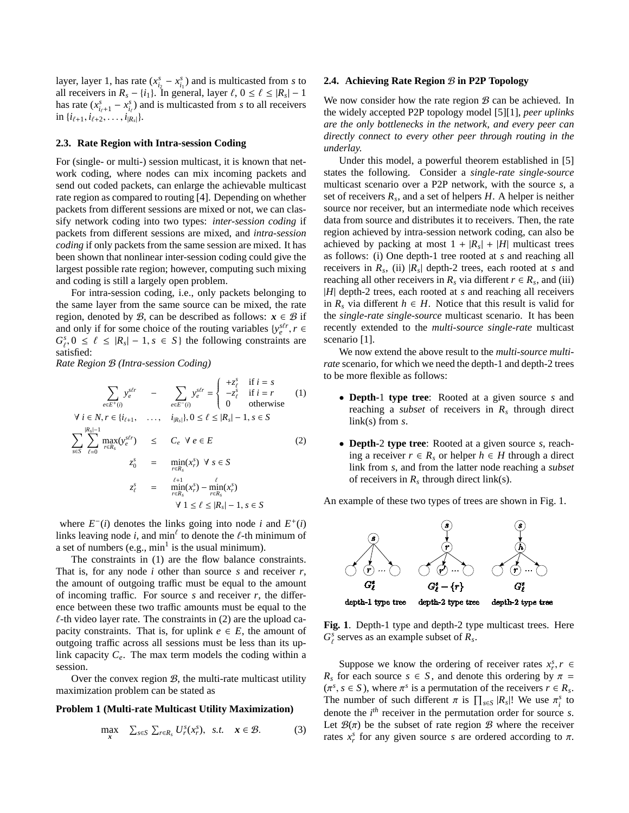layer, layer 1, has rate  $(x_{i_2}^s - x_{i_1}^s)$  and is multicasted from *s* to all receivers in  $R_s - \{i_1\}$ . In general, layer  $\ell$ ,  $0 \le \ell \le |R_s| - 1$ has rate  $(x_{i_t+1}^s - x_{i_t}^s)$  and is multicasted from *s* to all receivers  $\text{in } \{i_{\ell+1}, i_{\ell+2}, \ldots, i_{|R_s|}\}.$ 

#### **2.3. Rate Region with Intra-session Coding**

For (single- or multi-) session multicast, it is known that network coding, where nodes can mix incoming packets and send out coded packets, can enlarge the achievable multicast rate region as compared to routing [4]. Depending on whether packets from different sessions are mixed or not, we can classify network coding into two types: *inter-session coding* if packets from different sessions are mixed, and *intra-session coding* if only packets from the same session are mixed. It has been shown that nonlinear inter-session coding could give the largest possible rate region; however, computing such mixing and coding is still a largely open problem.

For intra-session coding, i.e., only packets belonging to the same layer from the same source can be mixed, the rate region, denoted by B, can be described as follows:  $x \in \mathcal{B}$  if and only if for some choice of the routing variables  $\{y_e^{s\ell r}, r \in$  $G_{\ell}^s, 0 \leq \ell \leq |R_s| - 1, s \in S$  } the following constraints are satisfied:

*Rate Region* B *(Intra-session Coding)*

$$
\sum_{e \in E^+(i)} y_e^{s\ell r} - \sum_{e \in E^-(i)} y_e^{s\ell r} = \begin{cases} +z_e^s & \text{if } i = s \\ -z_e^s & \text{if } i = r \\ 0 & \text{otherwise} \end{cases}
$$
 (1)  
\n
$$
\forall i \in N, r \in \{i_{\ell+1}, \dots, i_{|R_s|}\}, 0 \le \ell \le |R_s| - 1, s \in S
$$
  
\n
$$
\sum_{s \in S} \sum_{\ell=0}^{|R_s|-1} \max_{r \in R_s} (y_e^{s\ell r}) \le C_e \quad \forall e \in E
$$
 (2)  
\n
$$
z_0^s = \min_{r \in R_s} (x_r^s) \quad \forall s \in S
$$
  
\n
$$
z_\ell^s = \min_{r \in R_s} (x_r^s) - \min_{r \in R_s} (x_r^s)
$$
  
\n
$$
\forall 1 \le \ell \le |R_s| - 1, s \in S
$$

where  $E^{-}(i)$  denotes the links going into node *i* and  $E^{+}(i)$ links leaving node *i*, and min<sup> $\ell$ </sup> to denote the  $\ell$ -th minimum of a set of numbers (e.g.,  $min<sup>1</sup>$  is the usual minimum).

The constraints in (1) are the flow balance constraints. That is, for any node *i* other than source *s* and receiver *r*, the amount of outgoing traffic must be equal to the amount of incoming traffic. For source *s* and receiver *r*, the difference between these two traffic amounts must be equal to the  $\ell$ -th video layer rate. The constraints in (2) are the upload capacity constraints. That is, for uplink  $e \in E$ , the amount of outgoing traffic across all sessions must be less than its uplink capacity *Ce*. The max term models the coding within a session.

Over the convex region  $B$ , the multi-rate multicast utility maximization problem can be stated as

#### **Problem 1 (Multi-rate Multicast Utility Maximization)**

$$
\max_{\mathbf{x}} \quad \sum_{s \in S} \sum_{r \in R_s} U_r^s(x_r^s), \quad s.t. \quad \mathbf{x} \in \mathcal{B}.\tag{3}
$$

#### **2.4. Achieving Rate Region** B **in P2P Topology**

We now consider how the rate region  $B$  can be achieved. In the widely accepted P2P topology model [5][1], *peer uplinks are the only bottlenecks in the network, and every peer can directly connect to every other peer through routing in the underlay.*

Under this model, a powerful theorem established in [5] states the following. Consider a *single-rate single-source* multicast scenario over a P2P network, with the source *s*, a set of receivers *R<sup>s</sup>* , and a set of helpers *H*. A helper is neither source nor receiver, but an intermediate node which receives data from source and distributes it to receivers. Then, the rate region achieved by intra-session network coding, can also be achieved by packing at most  $1 + |R_s| + |H|$  multicast trees as follows: (i) One depth-1 tree rooted at *s* and reaching all receivers in *R<sup>s</sup>* , (ii) |*R<sup>s</sup>* | depth-2 trees, each rooted at *s* and reaching all other receivers in  $R_s$  via different  $r \in R_s$ , and (iii) |*H*| depth-2 trees, each rooted at *s* and reaching all receivers in  $R_s$  via different  $h \in H$ . Notice that this result is valid for the *single-rate single-source* multicast scenario. It has been recently extended to the *multi-source single-rate* multicast scenario [1].

We now extend the above result to the *multi-source multirate* scenario, for which we need the depth-1 and depth-2 trees to be more flexible as follows:

- **Depth-**1 **type tree**: Rooted at a given source *s* and reaching a *subset* of receivers in *R<sup>s</sup>* through direct link(s) from *s*.
- **Depth-**2 **type tree**: Rooted at a given source *s*, reaching a receiver *r* ∈  $R_s$  or helper  $h$  ∈ *H* through a direct link from *s*, and from the latter node reaching a *subset* of receivers in  $R_s$  through direct link(s).

An example of these two types of trees are shown in Fig. 1.



**Fig. 1**. Depth-1 type and depth-2 type multicast trees. Here  $G_{\ell}^{s}$  serves as an example subset of  $R_{s}$ .

Suppose we know the ordering of receiver rates  $x_r^s$ ,  $r \in$  $R_s$  for each source  $s \in S$ , and denote this ordering by  $\pi =$  $(\pi^s, s \in S)$ , where  $\pi^s$  is a permutation of the receivers  $r \in R_s$ . The number of such different  $\pi$  is  $\prod_{s \in S} |R_s|!$  We use  $\pi_i^s$  to denote the *i th* receiver in the permutation order for source *s*. Let  $\mathcal{B}(\pi)$  be the subset of rate region  $\mathcal{B}$  where the receiver rates  $x_r^s$  for any given source *s* are ordered according to  $\pi$ .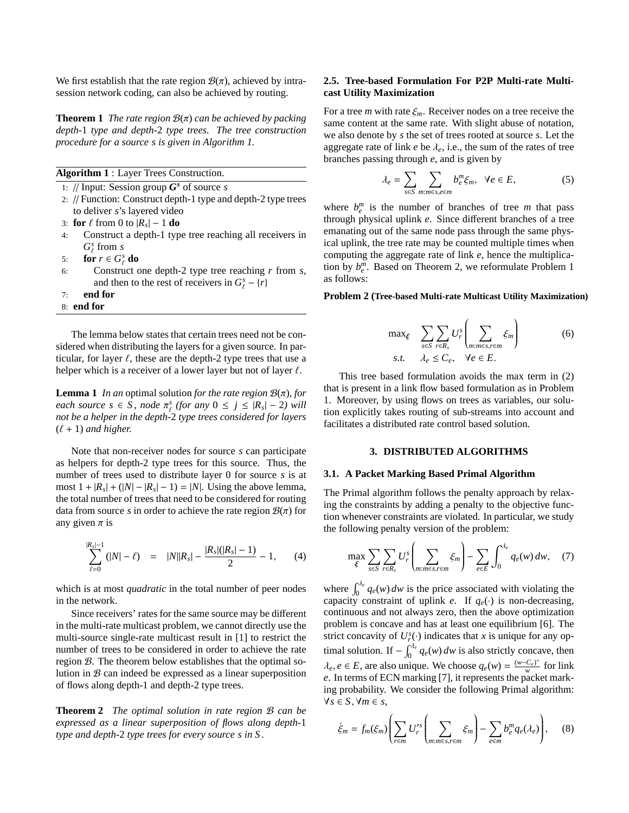We first establish that the rate region  $\mathcal{B}(\pi)$ , achieved by intrasession network coding, can also be achieved by routing.

**Theorem 1** *The rate region* B(π) *can be achieved by packing depth-*1 *type and depth-*2 *type trees. The tree construction procedure for a source s is given in Algorithm 1.*

| <b>Algorithm 1: Layer Trees Construction.</b> |  |  |  |  |
|-----------------------------------------------|--|--|--|--|
|-----------------------------------------------|--|--|--|--|

| 1: // Input: Session group $Gs$ of source s |  |  |  |  |  |
|---------------------------------------------|--|--|--|--|--|
|---------------------------------------------|--|--|--|--|--|

2: // Function: Construct depth-1 type and depth-2 type trees to deliver *s*'s layered video

3: **for**  $\ell$  from 0 to  $|R_s| - 1$  **do** 

- 4: Construct a depth-1 type tree reaching all receivers in  $G^s_\ell$  from *s*
- 5: **for**  $r \in G_\ell^s$  **do**
- 6: Construct one depth-2 type tree reaching *r* from *s*, and then to the rest of receivers in  $G_{\ell}^s - \{r\}$
- 7: **end for**
- 8: **end for**

The lemma below states that certain trees need not be considered when distributing the layers for a given source. In particular, for layer  $\ell$ , these are the depth-2 type trees that use a helper which is a receiver of a lower layer but not of layer  $\ell$ .

**Lemma 1** *In an* optimal solution *for the rate region*  $\mathcal{B}(\pi)$ *, for*  $\text{each source } s \in S, \text{ node } \pi_{\ell}^{s} \text{ (for any } 0 \leq j \leq |R_s| - 2) \text{ will}$ *not be a helper in the depth-*2 *type trees considered for layers*  $(\ell + 1)$  *and higher.* 

Note that non-receiver nodes for source *s* can participate as helpers for depth-2 type trees for this source. Thus, the number of trees used to distribute layer 0 for source *s* is at most  $1 + |R_s| + (|N| - |R_s| - 1) = |N|$ . Using the above lemma, the total number of trees that need to be considered for routing data from source *s* in order to achieve the rate region  $\mathcal{B}(\pi)$  for any given  $\pi$  is

$$
\sum_{\ell=0}^{|R_s|-1} (|N| - \ell) = |N||R_s| - \frac{|R_s|(|R_s|-1)}{2} - 1, \qquad (4)
$$

which is at most *quadratic* in the total number of peer nodes in the network.

Since receivers' rates for the same source may be different in the multi-rate multicast problem, we cannot directly use the multi-source single-rate multicast result in [1] to restrict the number of trees to be considered in order to achieve the rate region B. The theorem below establishes that the optimal solution in  $B$  can indeed be expressed as a linear superposition of flows along depth-1 and depth-2 type trees.

**Theorem 2** *The optimal solution in rate region* B *can be expressed as a linear superposition of flows along depth-*1 *type and depth-*2 *type trees for every source s in S .*

## **2.5. Tree-based Formulation For P2P Multi-rate Multicast Utility Maximization**

For a tree *m* with rate  $\xi_m$ . Receiver nodes on a tree receive the same content at the same rate. With slight abuse of notation, we also denote by *s* the set of trees rooted at source *s*. Let the aggregate rate of link  $e$  be  $\lambda_e$ , i.e., the sum of the rates of tree branches passing through *e*, and is given by

$$
\lambda_e = \sum_{s \in S} \sum_{m:m \in s, e \in m} b_e^m \xi_m, \ \ \forall e \in E,
$$
 (5)

where  $b_e^m$  is the number of branches of tree  $m$  that pass through physical uplink *e*. Since different branches of a tree emanating out of the same node pass through the same physical uplink, the tree rate may be counted multiple times when computing the aggregate rate of link *e*, hence the multiplication by  $b_e^m$ . Based on Theorem 2, we reformulate Problem 1 as follows:

#### **Problem 2 (Tree-based Multi-rate Multicast Utility Maximization)**

$$
\max_{\xi} \sum_{s \in S} \sum_{r \in R_s} U_r^s \left( \sum_{m:m \in s, r \in m} \xi_m \right) \tag{6}
$$
  
s.t.  $\lambda_e \leq C_e$ ,  $\forall e \in E$ .

This tree based formulation avoids the max term in (2) that is present in a link flow based formulation as in Problem 1. Moreover, by using flows on trees as variables, our solution explicitly takes routing of sub-streams into account and facilitates a distributed rate control based solution.

### **3. DISTRIBUTED ALGORITHMS**

### **3.1. A Packet Marking Based Primal Algorithm**

The Primal algorithm follows the penalty approach by relaxing the constraints by adding a penalty to the objective function whenever constraints are violated. In particular, we study the following penalty version of the problem:

$$
\max_{\xi} \sum_{s \in S} \sum_{r \in R_s} U_r^s \left( \sum_{m:m \in s, r \in m} \xi_m \right) - \sum_{e \in E} \int_0^{\lambda_e} q_e(w) \, dw, \quad (7)
$$

where  $\int_0^{\lambda_e} q_e(w) dw$  is the price associated with violating the capacity constraint of uplink *e*. If  $q_e(\cdot)$  is non-decreasing, continuous and not always zero, then the above optimization problem is concave and has at least one equilibrium [6]. The strict concavity of  $U_r^s(\cdot)$  indicates that *x* is unique for any optimal solution. If  $-\int_0^{\lambda_e} q_e(w) dw$  is also strictly concave, then  $\lambda_e, e \in E$ , are also unique. We choose  $q_e(w) = \frac{(w - C_e)^+}{w_e}$  $\frac{C_e f}{w}$  for link *e*. In terms of ECN marking [7], it represents the packet marking probability. We consider the following Primal algorithm: ∀*s* ∈ *S*, ∀*m* ∈ *s*,

$$
\dot{\xi}_m = f_m(\xi_m) \left( \sum_{r \in m} U'_r \left( \sum_{m:m \in s, r \in m} \xi_m \right) - \sum_{e \in m} b_e^m q_e(\lambda_e) \right), \tag{8}
$$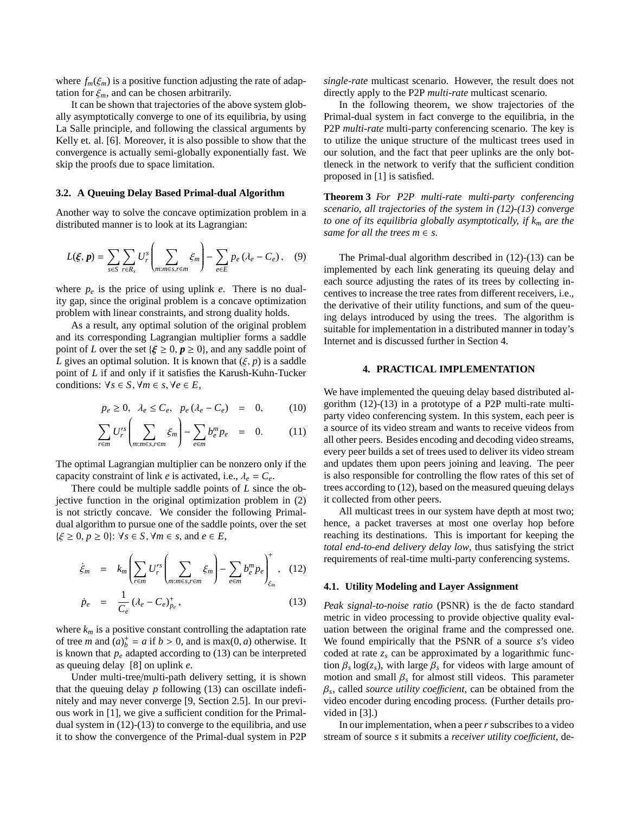where  $f_m(\xi_m)$  is a positive function adjusting the rate of adaptation for  $\xi_m$ , and can be chosen arbitrarily.

It can be shown that trajectories of the above system globally asymptotically converge to one of its equilibria, by using La Salle principle, and following the classical arguments by Kelly et. al. [6]. Moreover, it is also possible to show that the convergence is actually semi-globally exponentially fast. We skip the proofs due to space limitation.

## **3.2. A Queuing Delay Based Primal-dual Algorithm**

Another way to solve the concave optimization problem in a distributed manner is to look at its Lagrangian:

$$
L(\xi, p) = \sum_{s \in S} \sum_{r \in R_s} U_r^s \left( \sum_{m:m \in s, r \in m} \xi_m \right) - \sum_{e \in E} p_e (\lambda_e - C_e), \quad (9)
$$

where  $p_e$  is the price of using uplink  $e$ . There is no duality gap, since the original problem is a concave optimization problem with linear constraints, and strong duality holds.

As a result, any optimal solution of the original problem and its corresponding Lagrangian multiplier forms a saddle point of *L* over the set  $\{\xi \geq 0, p \geq 0\}$ , and any saddle point of *L* gives an optimal solution. It is known that  $(\xi, p)$  is a saddle point of *L* if and only if it satisfies the Karush-Kuhn-Tucker conditions:  $\forall s \in S, \forall m \in s, \forall e \in E$ ,

$$
p_e \ge 0, \quad \lambda_e \le C_e, \quad p_e \left(\lambda_e - C_e\right) = 0, \tag{10}
$$

$$
\sum_{r \in m} U_r^{\prime s} \left( \sum_{m:m \in s, r \in m} \xi_m \right) - \sum_{e \in m} b_e^m p_e = 0. \tag{11}
$$

The optimal Lagrangian multiplier can be nonzero only if the capacity constraint of link *e* is activated, i.e.,  $\lambda_e = C_e$ .

There could be multiple saddle points of *L* since the objective function in the original optimization problem in (2) is not strictly concave. We consider the following Primaldual algorithm to pursue one of the saddle points, over the set  $\{\xi \geq 0, p \geq 0\}$ :  $\forall s \in S, \forall m \in s, \text{ and } e \in E$ ,

$$
\dot{\xi}_m = k_m \left( \sum_{r \in m} U_r^{rs} \left( \sum_{m:m \in s, r \in m} \xi_m \right) - \sum_{e \in m} b_e^m p_e \right)_{\xi_m}^+, \quad (12)
$$

$$
\dot{p}_e = \frac{1}{C_e} (\lambda_e - C_e)^+_{p_e}, \qquad (13)
$$

where  $k_m$  is a positive constant controlling the adaptation rate of tree *m* and  $(a)_b^+ = a$  if  $b > 0$ , and is max $(0, a)$  otherwise. It is known that  $p_e$  adapted according to (13) can be interpreted as queuing delay [8] on uplink *e*.

Under multi-tree/multi-path delivery setting, it is shown that the queuing delay  $p$  following  $(13)$  can oscillate indefinitely and may never converge [9, Section 2.5]. In our previous work in [1], we give a sufficient condition for the Primaldual system in (12)-(13) to converge to the equilibria, and use it to show the convergence of the Primal-dual system in P2P

*single-rate* multicast scenario. However, the result does not directly apply to the P2P *multi-rate* multicast scenario.

In the following theorem, we show trajectories of the Primal-dual system in fact converge to the equilibria, in the P2P *multi-rate* multi-party conferencing scenario. The key is to utilize the unique structure of the multicast trees used in our solution, and the fact that peer uplinks are the only bottleneck in the network to verify that the sufficient condition proposed in [1] is satisfied.

**Theorem 3** *For P2P multi-rate multi-party conferencing scenario, all trajectories of the system in (12)-(13) converge to one of its equilibria globally asymptotically, if k<sup>m</sup> are the same for all the trees*  $m \in s$ *.* 

The Primal-dual algorithm described in (12)-(13) can be implemented by each link generating its queuing delay and each source adjusting the rates of its trees by collecting incentives to increase the tree rates from different receivers, i.e., the derivative of their utility functions, and sum of the queuing delays introduced by using the trees. The algorithm is suitable for implementation in a distributed manner in today's Internet and is discussed further in Section 4.

## **4. PRACTICAL IMPLEMENTATION**

We have implemented the queuing delay based distributed algorithm (12)-(13) in a prototype of a P2P multi-rate multiparty video conferencing system. In this system, each peer is a source of its video stream and wants to receive videos from all other peers. Besides encoding and decoding video streams, every peer builds a set of trees used to deliver its video stream and updates them upon peers joining and leaving. The peer is also responsible for controlling the flow rates of this set of trees according to (12), based on the measured queuing delays it collected from other peers.

All multicast trees in our system have depth at most two; hence, a packet traverses at most one overlay hop before reaching its destinations. This is important for keeping the *total end-to-end delivery delay low*, thus satisfying the strict requirements of real-time multi-party conferencing systems.

#### **4.1. Utility Modeling and Layer Assignment**

*Peak signal-to-noise ratio* (PSNR) is the de facto standard metric in video processing to provide objective quality evaluation between the original frame and the compressed one. We found empirically that the PSNR of a source *s*'s video coded at rate  $z_s$  can be approximated by a logarithmic function  $\beta_s \log(z_s)$ , with large  $\beta_s$  for videos with large amount of motion and small  $\beta_s$  for almost still videos. This parameter β*s* , called *source utility coe*ffi*cient*, can be obtained from the video encoder during encoding process. (Further details provided in [3].)

In our implementation, when a peer*r* subscribes to a video stream of source *s* it submits a *receiver utility coefficient*, de-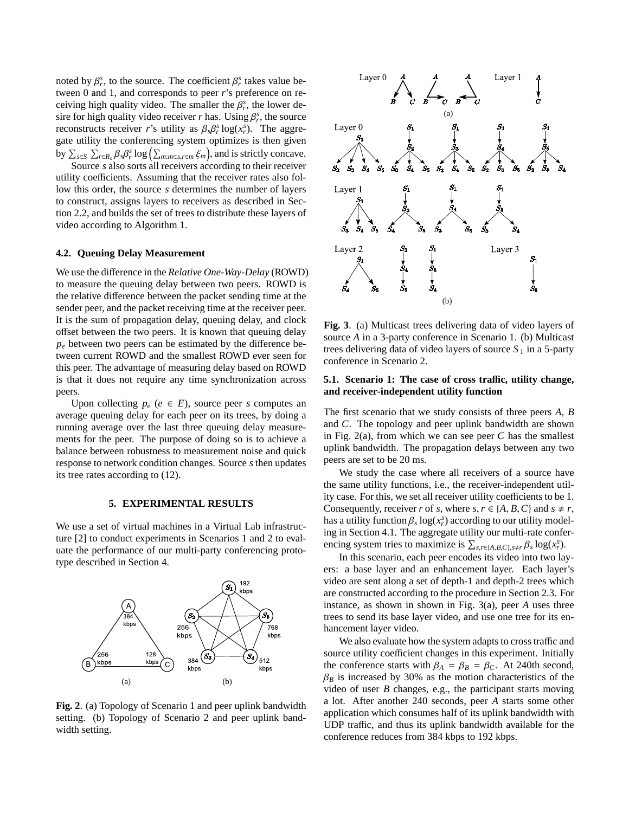noted by  $\beta_r^s$ , to the source. The coefficient  $\beta_r^s$  takes value between 0 and 1, and corresponds to peer *r*'s preference on receiving high quality video. The smaller the  $\beta_r^s$ , the lower desire for high quality video receiver *r* has. Using  $\beta_r^s$ , the source reconstructs receiver *r*'s utility as  $\beta_s \beta_r^s \log(x_r^s)$ . The aggregate utility the conferencing system optimizes is then given by  $\sum_{s \in S} \sum_{r \in R_s} \beta_s \beta_r^s \log \left( \sum_{m:m \in s, r \in m} \xi_m \right)$ , and is strictly concave.

Source *s* also sorts all receivers according to their receiver utility coefficients. Assuming that the receiver rates also follow this order, the source *s* determines the number of layers to construct, assigns layers to receivers as described in Section 2.2, and builds the set of trees to distribute these layers of video according to Algorithm 1.

### **4.2. Queuing Delay Measurement**

We use the difference in the *Relative One-Way-Delay* (ROWD) to measure the queuing delay between two peers. ROWD is the relative difference between the packet sending time at the sender peer, and the packet receiving time at the receiver peer. It is the sum of propagation delay, queuing delay, and clock offset between the two peers. It is known that queuing delay  $p_e$  between two peers can be estimated by the difference between current ROWD and the smallest ROWD ever seen for this peer. The advantage of measuring delay based on ROWD is that it does not require any time synchronization across peers.

Upon collecting  $p_e$  ( $e \in E$ ), source peer *s* computes an average queuing delay for each peer on its trees, by doing a running average over the last three queuing delay measurements for the peer. The purpose of doing so is to achieve a balance between robustness to measurement noise and quick response to network condition changes. Source *s* then updates its tree rates according to (12).

#### **5. EXPERIMENTAL RESULTS**

We use a set of virtual machines in a Virtual Lab infrastructure [2] to conduct experiments in Scenarios 1 and 2 to evaluate the performance of our multi-party conferencing prototype described in Section 4.



**Fig. 2**. (a) Topology of Scenario 1 and peer uplink bandwidth setting. (b) Topology of Scenario 2 and peer uplink bandwidth setting.



**Fig. 3**. (a) Multicast trees delivering data of video layers of source *A* in a 3-party conference in Scenario 1. (b) Multicast trees delivering data of video layers of source  $S_1$  in a 5-party conference in Scenario 2.

## **5.1. Scenario 1: The case of cross traffic, utility change, and receiver-independent utility function**

The first scenario that we study consists of three peers *A*, *B* and *C*. The topology and peer uplink bandwidth are shown in Fig. 2(a), from which we can see peer *C* has the smallest uplink bandwidth. The propagation delays between any two peers are set to be 20 ms.

We study the case where all receivers of a source have the same utility functions, i.e., the receiver-independent utility case. For this, we set all receiver utility coefficients to be 1. Consequently, receiver *r* of *s*, where  $s, r \in \{A, B, C\}$  and  $s \neq r$ , has a utility function  $\beta_s \log(x_r^s)$  according to our utility modeling in Section 4.1. The aggregate utility our multi-rate conferencing system tries to maximize is  $\sum_{s,r \in \{A,B,C\},s \neq r} \beta_s \log(x_r^s)$ .

In this scenario, each peer encodes its video into two layers: a base layer and an enhancement layer. Each layer's video are sent along a set of depth-1 and depth-2 trees which are constructed according to the procedure in Section 2.3. For instance, as shown in shown in Fig. 3(a), peer *A* uses three trees to send its base layer video, and use one tree for its enhancement layer video.

We also evaluate how the system adapts to cross traffic and source utility coefficient changes in this experiment. Initially the conference starts with  $\beta_A = \beta_B = \beta_C$ . At 240th second,  $\beta_B$  is increased by 30% as the motion characteristics of the video of user *B* changes, e.g., the participant starts moving a lot. After another 240 seconds, peer *A* starts some other application which consumes half of its uplink bandwidth with UDP traffic, and thus its uplink bandwidth available for the conference reduces from 384 kbps to 192 kbps.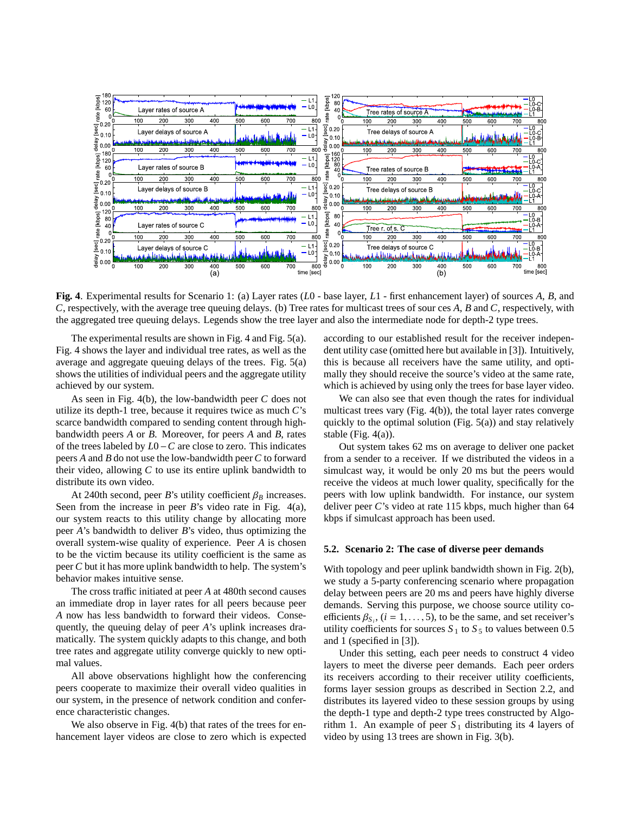

**Fig. 4**. Experimental results for Scenario 1: (a) Layer rates (*L*0 - base layer, *L*1 - first enhancement layer) of sources *A*, *B*, and *C*, respectively, with the average tree queuing delays. (b) Tree rates for multicast trees of sour ces *A*, *B* and *C*, respectively, with the aggregated tree queuing delays. Legends show the tree layer and also the intermediate node for depth-2 type trees.

The experimental results are shown in Fig. 4 and Fig. 5(a). Fig. 4 shows the layer and individual tree rates, as well as the average and aggregate queuing delays of the trees. Fig. 5(a) shows the utilities of individual peers and the aggregate utility achieved by our system.

As seen in Fig. 4(b), the low-bandwidth peer *C* does not utilize its depth-1 tree, because it requires twice as much *C*'s scarce bandwidth compared to sending content through highbandwidth peers *A* or *B*. Moreover, for peers *A* and *B*, rates of the trees labeled by *L*0−*C* are close to zero. This indicates peers *A* and *B* do not use the low-bandwidth peer *C* to forward their video, allowing *C* to use its entire uplink bandwidth to distribute its own video.

At 240th second, peer *B*'s utility coefficient  $\beta_B$  increases. Seen from the increase in peer *B*'s video rate in Fig. 4(a), our system reacts to this utility change by allocating more peer *A*'s bandwidth to deliver *B*'s video, thus optimizing the overall system-wise quality of experience. Peer *A* is chosen to be the victim because its utility coefficient is the same as peer *C* but it has more uplink bandwidth to help. The system's behavior makes intuitive sense.

The cross traffic initiated at peer *A* at 480th second causes an immediate drop in layer rates for all peers because peer *A* now has less bandwidth to forward their videos. Consequently, the queuing delay of peer *A*'s uplink increases dramatically. The system quickly adapts to this change, and both tree rates and aggregate utility converge quickly to new optimal values.

All above observations highlight how the conferencing peers cooperate to maximize their overall video qualities in our system, in the presence of network condition and conference characteristic changes.

We also observe in Fig. 4(b) that rates of the trees for enhancement layer videos are close to zero which is expected according to our established result for the receiver independent utility case (omitted here but available in [3]). Intuitively, this is because all receivers have the same utility, and optimally they should receive the source's video at the same rate, which is achieved by using only the trees for base layer video.

We can also see that even though the rates for individual multicast trees vary (Fig. 4(b)), the total layer rates converge quickly to the optimal solution (Fig. 5(a)) and stay relatively stable (Fig. 4(a)).

Out system takes 62 ms on average to deliver one packet from a sender to a receiver. If we distributed the videos in a simulcast way, it would be only 20 ms but the peers would receive the videos at much lower quality, specifically for the peers with low uplink bandwidth. For instance, our system deliver peer *C*'s video at rate 115 kbps, much higher than 64 kbps if simulcast approach has been used.

#### **5.2. Scenario 2: The case of diverse peer demands**

With topology and peer uplink bandwidth shown in Fig. 2(b), we study a 5-party conferencing scenario where propagation delay between peers are 20 ms and peers have highly diverse demands. Serving this purpose, we choose source utility coefficients  $\beta_{S_i}$ ,  $(i = 1, \ldots, 5)$ , to be the same, and set receiver's utility coefficients for sources  $S_1$  to  $S_5$  to values between 0.5 and 1 (specified in [3]).

Under this setting, each peer needs to construct 4 video layers to meet the diverse peer demands. Each peer orders its receivers according to their receiver utility coefficients, forms layer session groups as described in Section 2.2, and distributes its layered video to these session groups by using the depth-1 type and depth-2 type trees constructed by Algorithm 1. An example of peer  $S_1$  distributing its 4 layers of video by using 13 trees are shown in Fig. 3(b).